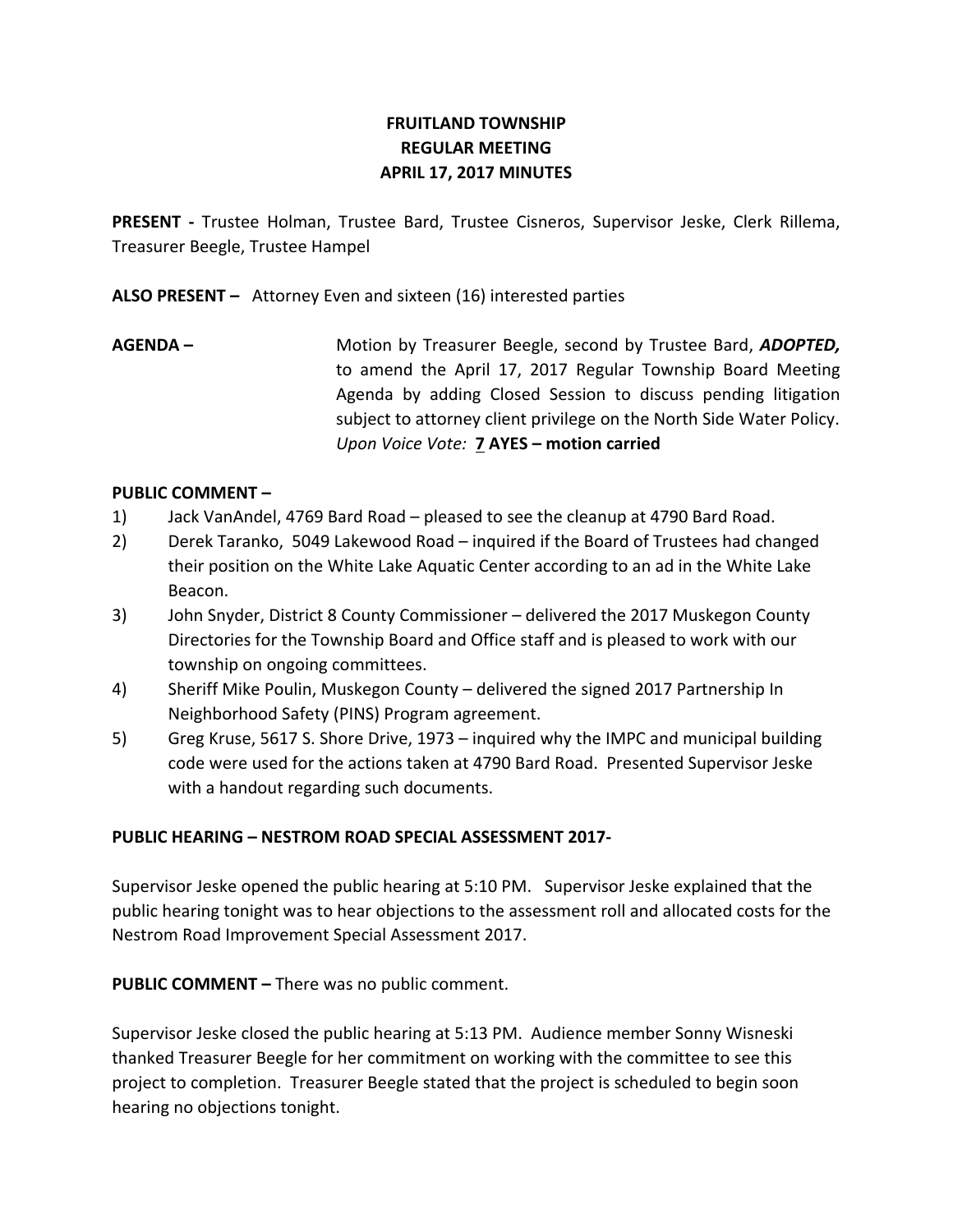# **FRUITLAND TOWNSHIP REGULAR MEETING APRIL 17, 2017 MINUTES**

**PRESENT -** Trustee Holman, Trustee Bard, Trustee Cisneros, Supervisor Jeske, Clerk Rillema, Treasurer Beegle, Trustee Hampel

**ALSO PRESENT –** Attorney Even and sixteen (16) interested parties

**AGENDA –** Motion by Treasurer Beegle, second by Trustee Bard, *ADOPTED,*  to amend the April 17, 2017 Regular Township Board Meeting Agenda by adding Closed Session to discuss pending litigation subject to attorney client privilege on the North Side Water Policy. *Upon Voice Vote:* **7 AYES – motion carried**

# **PUBLIC COMMENT –**

- 1) Jack VanAndel, 4769 Bard Road pleased to see the cleanup at 4790 Bard Road.
- 2) Derek Taranko, 5049 Lakewood Road inquired if the Board of Trustees had changed their position on the White Lake Aquatic Center according to an ad in the White Lake Beacon.
- 3) John Snyder, District 8 County Commissioner delivered the 2017 Muskegon County Directories for the Township Board and Office staff and is pleased to work with our township on ongoing committees.
- 4) Sheriff Mike Poulin, Muskegon County delivered the signed 2017 Partnership In Neighborhood Safety (PINS) Program agreement.
- 5) Greg Kruse, 5617 S. Shore Drive, 1973 inquired why the IMPC and municipal building code were used for the actions taken at 4790 Bard Road. Presented Supervisor Jeske with a handout regarding such documents.

### **PUBLIC HEARING – NESTROM ROAD SPECIAL ASSESSMENT 2017-**

Supervisor Jeske opened the public hearing at 5:10 PM. Supervisor Jeske explained that the public hearing tonight was to hear objections to the assessment roll and allocated costs for the Nestrom Road Improvement Special Assessment 2017.

**PUBLIC COMMENT –** There was no public comment.

Supervisor Jeske closed the public hearing at 5:13 PM. Audience member Sonny Wisneski thanked Treasurer Beegle for her commitment on working with the committee to see this project to completion. Treasurer Beegle stated that the project is scheduled to begin soon hearing no objections tonight.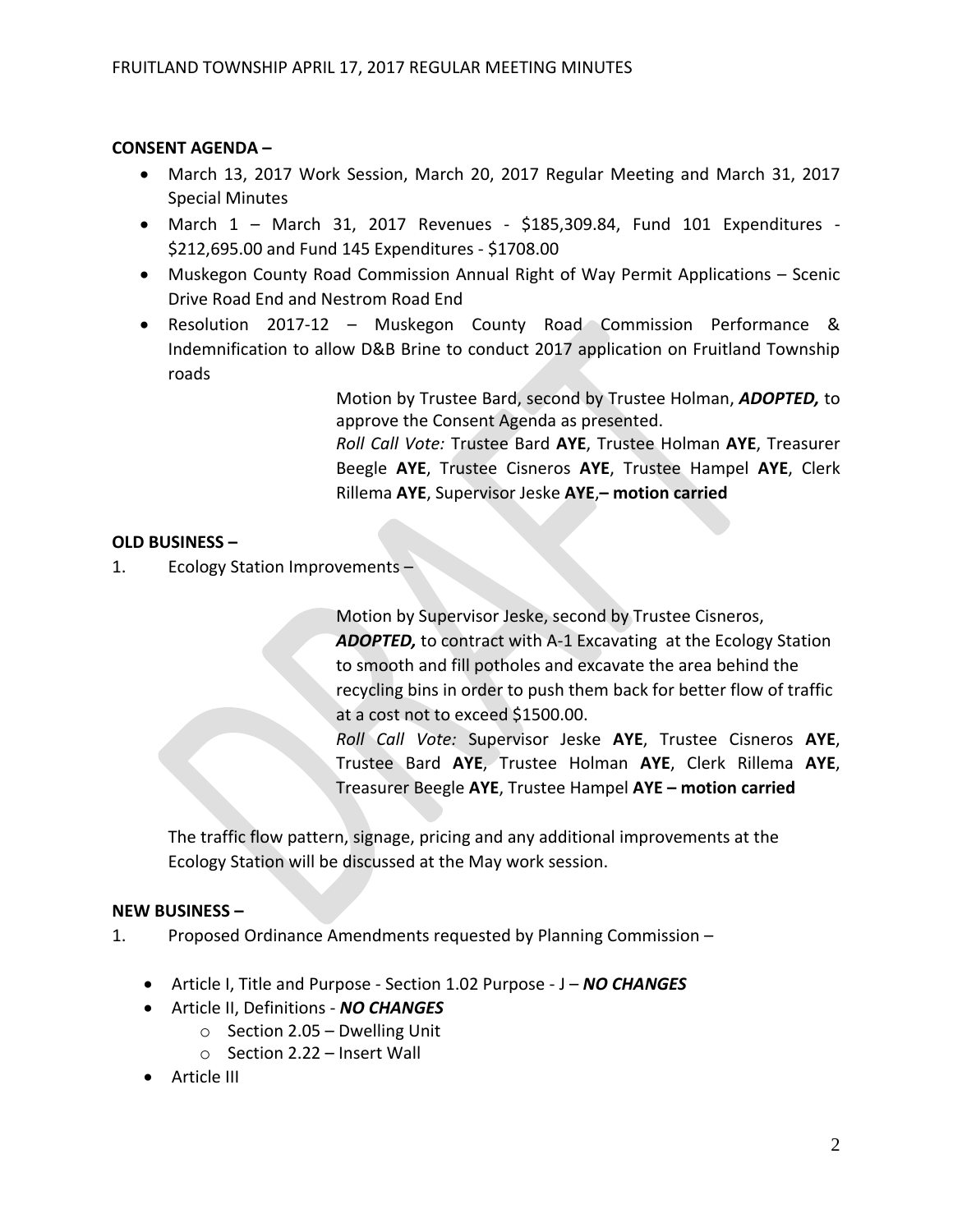# **CONSENT AGENDA –**

- March 13, 2017 Work Session, March 20, 2017 Regular Meeting and March 31, 2017 Special Minutes
- March  $1$  March 31, 2017 Revenues \$185,309.84, Fund 101 Expenditures -\$212,695.00 and Fund 145 Expenditures - \$1708.00
- Muskegon County Road Commission Annual Right of Way Permit Applications Scenic Drive Road End and Nestrom Road End
- Resolution 2017-12 Muskegon County Road Commission Performance & Indemnification to allow D&B Brine to conduct 2017 application on Fruitland Township roads

Motion by Trustee Bard, second by Trustee Holman, *ADOPTED,* to approve the Consent Agenda as presented.

*Roll Call Vote:* Trustee Bard **AYE**, Trustee Holman **AYE**, Treasurer Beegle **AYE**, Trustee Cisneros **AYE**, Trustee Hampel **AYE**, Clerk Rillema **AYE**, Supervisor Jeske **AYE**,**– motion carried**

# **OLD BUSINESS –**

1. Ecology Station Improvements –

Motion by Supervisor Jeske, second by Trustee Cisneros, *ADOPTED,* to contract with A-1 Excavating at the Ecology Station to smooth and fill potholes and excavate the area behind the recycling bins in order to push them back for better flow of traffic at a cost not to exceed \$1500.00.

*Roll Call Vote:* Supervisor Jeske **AYE**, Trustee Cisneros **AYE**, Trustee Bard **AYE**, Trustee Holman **AYE**, Clerk Rillema **AYE**, Treasurer Beegle **AYE**, Trustee Hampel **AYE – motion carried**

The traffic flow pattern, signage, pricing and any additional improvements at the Ecology Station will be discussed at the May work session.

### **NEW BUSINESS –**

1. Proposed Ordinance Amendments requested by Planning Commission –

- Article I, Title and Purpose Section 1.02 Purpose J *NO CHANGES*
- Article II, Definitions *NO CHANGES*
	- $\circ$  Section 2.05 Dwelling Unit
	- o Section 2.22 Insert Wall
- **•** Article III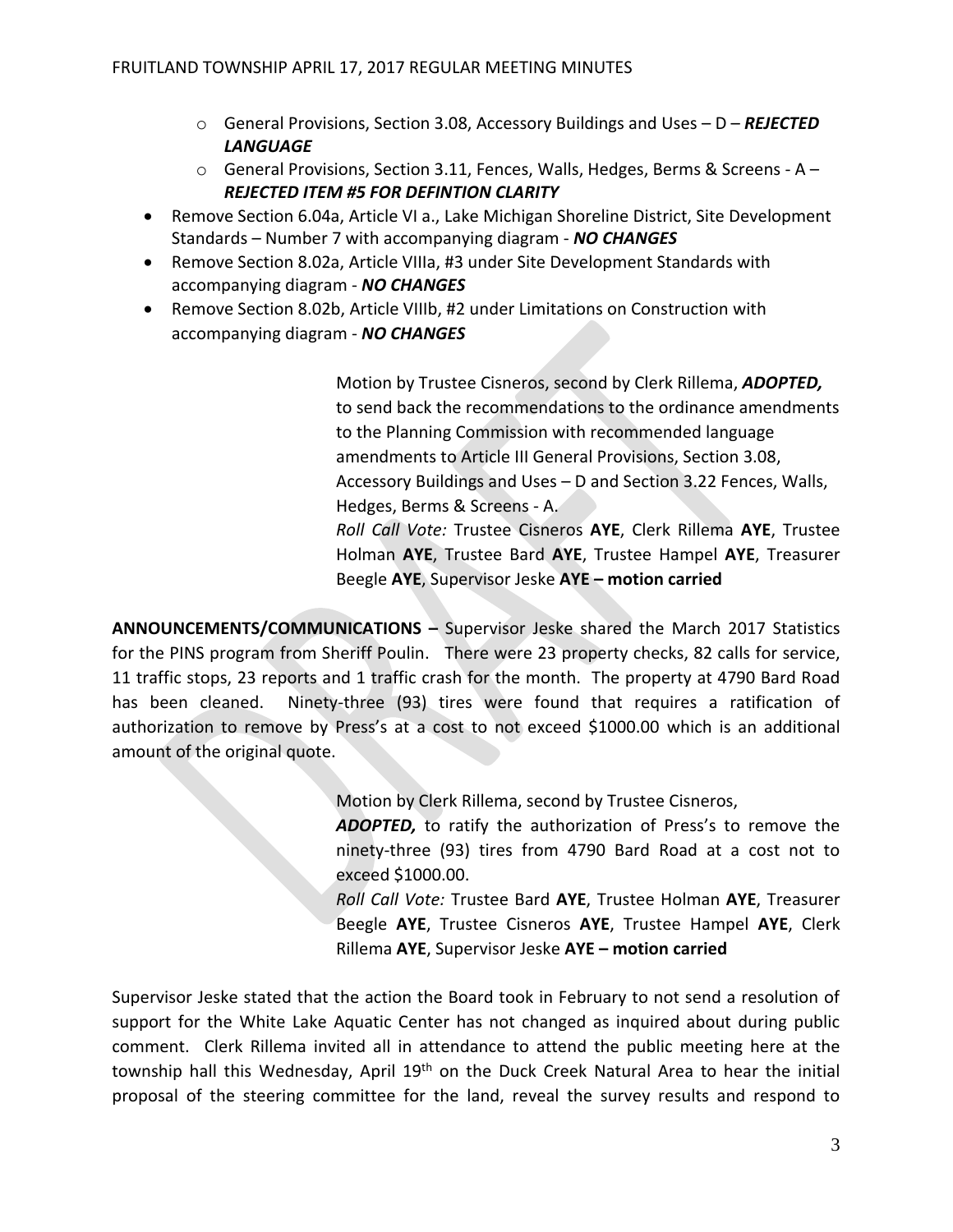- o General Provisions, Section 3.08, Accessory Buildings and Uses D *REJECTED LANGUAGE*
- o General Provisions, Section 3.11, Fences, Walls, Hedges, Berms & Screens A *REJECTED ITEM #5 FOR DEFINTION CLARITY*
- Remove Section 6.04a, Article VI a., Lake Michigan Shoreline District, Site Development Standards – Number 7 with accompanying diagram - *NO CHANGES*
- Remove Section 8.02a, Article VIIIa, #3 under Site Development Standards with accompanying diagram - *NO CHANGES*
- Remove Section 8.02b, Article VIIIb, #2 under Limitations on Construction with accompanying diagram - *NO CHANGES*

Motion by Trustee Cisneros, second by Clerk Rillema, *ADOPTED,*  to send back the recommendations to the ordinance amendments to the Planning Commission with recommended language amendments to Article III General Provisions, Section 3.08, Accessory Buildings and Uses – D and Section 3.22 Fences, Walls, Hedges, Berms & Screens - A. *Roll Call Vote:* Trustee Cisneros **AYE**, Clerk Rillema **AYE**, Trustee Holman **AYE**, Trustee Bard **AYE**, Trustee Hampel **AYE**, Treasurer Beegle **AYE**, Supervisor Jeske **AYE – motion carried**

**ANNOUNCEMENTS/COMMUNICATIONS –** Supervisor Jeske shared the March 2017 Statistics for the PINS program from Sheriff Poulin. There were 23 property checks, 82 calls for service, 11 traffic stops, 23 reports and 1 traffic crash for the month. The property at 4790 Bard Road has been cleaned. Ninety-three (93) tires were found that requires a ratification of authorization to remove by Press's at a cost to not exceed \$1000.00 which is an additional amount of the original quote.

Motion by Clerk Rillema, second by Trustee Cisneros,

*ADOPTED,* to ratify the authorization of Press's to remove the ninety-three (93) tires from 4790 Bard Road at a cost not to exceed \$1000.00.

*Roll Call Vote:* Trustee Bard **AYE**, Trustee Holman **AYE**, Treasurer Beegle **AYE**, Trustee Cisneros **AYE**, Trustee Hampel **AYE**, Clerk Rillema **AYE**, Supervisor Jeske **AYE – motion carried**

Supervisor Jeske stated that the action the Board took in February to not send a resolution of support for the White Lake Aquatic Center has not changed as inquired about during public comment. Clerk Rillema invited all in attendance to attend the public meeting here at the township hall this Wednesday, April 19<sup>th</sup> on the Duck Creek Natural Area to hear the initial proposal of the steering committee for the land, reveal the survey results and respond to